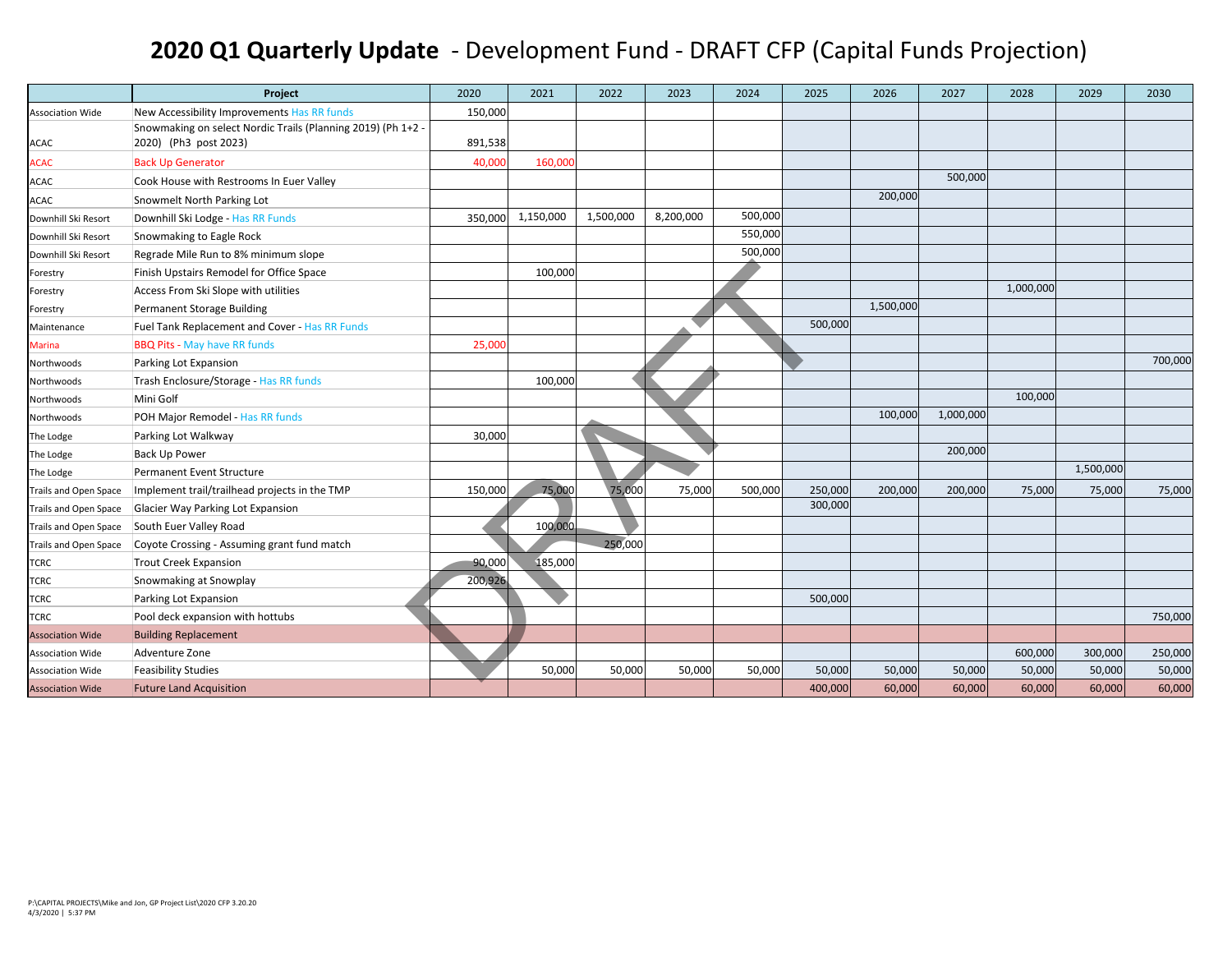## **2020 Q1 Quarterly Update** ‐ Development Fund ‐ DRAFT CFP (Capital Funds Projection)

|                         | Project                                                      | 2020    | 2021      | 2022      | 2023      | 2024    | 2025    | 2026      | 2027      | 2028      | 2029      | 2030    |
|-------------------------|--------------------------------------------------------------|---------|-----------|-----------|-----------|---------|---------|-----------|-----------|-----------|-----------|---------|
| <b>Association Wide</b> | New Accessibility Improvements Has RR funds                  | 150,000 |           |           |           |         |         |           |           |           |           |         |
|                         | Snowmaking on select Nordic Trails (Planning 2019) (Ph 1+2 - |         |           |           |           |         |         |           |           |           |           |         |
| ACAC                    | 2020) (Ph3 post 2023)                                        | 891,538 |           |           |           |         |         |           |           |           |           |         |
| <b>ACAC</b>             | <b>Back Up Generator</b>                                     | 40,000  | 160,000   |           |           |         |         |           |           |           |           |         |
| ACAC                    | Cook House with Restrooms In Euer Valley                     |         |           |           |           |         |         |           | 500,000   |           |           |         |
| ACAC                    | Snowmelt North Parking Lot                                   |         |           |           |           |         |         | 200,000   |           |           |           |         |
| Downhill Ski Resort     | Downhill Ski Lodge - Has RR Funds                            | 350,000 | 1,150,000 | 1,500,000 | 8,200,000 | 500,000 |         |           |           |           |           |         |
| Downhill Ski Resort     | Snowmaking to Eagle Rock                                     |         |           |           |           | 550,000 |         |           |           |           |           |         |
| Downhill Ski Resort     | Regrade Mile Run to 8% minimum slope                         |         |           |           |           | 500,000 |         |           |           |           |           |         |
| Forestry                | Finish Upstairs Remodel for Office Space                     |         | 100,000   |           |           |         |         |           |           |           |           |         |
| Forestry                | Access From Ski Slope with utilities                         |         |           |           |           |         |         |           |           | 1,000,000 |           |         |
| Forestry                | <b>Permanent Storage Building</b>                            |         |           |           |           |         |         | 1,500,000 |           |           |           |         |
| Maintenance             | Fuel Tank Replacement and Cover - Has RR Funds               |         |           |           |           |         | 500,000 |           |           |           |           |         |
| <b>Marina</b>           | <b>BBQ Pits - May have RR funds</b>                          | 25,000  |           |           |           |         |         |           |           |           |           |         |
| Northwoods              | Parking Lot Expansion                                        |         |           |           |           |         |         |           |           |           |           | 700,000 |
| Northwoods              | Trash Enclosure/Storage - Has RR funds                       |         | 100,000   |           |           |         |         |           |           |           |           |         |
| Northwoods              | Mini Golf                                                    |         |           |           |           |         |         |           |           | 100,000   |           |         |
| Northwoods              | POH Major Remodel - Has RR funds                             |         |           |           |           |         |         | 100,000   | 1,000,000 |           |           |         |
| The Lodge               | Parking Lot Walkway                                          | 30,000  |           |           |           |         |         |           |           |           |           |         |
| The Lodge               | <b>Back Up Power</b>                                         |         |           |           |           |         |         |           | 200,000   |           |           |         |
| The Lodge               | Permanent Event Structure                                    |         |           |           |           |         |         |           |           |           | 1,500,000 |         |
| Trails and Open Space   | Implement trail/trailhead projects in the TMP                | 150,000 | 75,000    | 75,000    | 75,000    | 500,000 | 250,000 | 200,000   | 200,000   | 75,000    | 75,000    | 75,000  |
| Trails and Open Space   | Glacier Way Parking Lot Expansion                            |         |           |           |           |         | 300,000 |           |           |           |           |         |
| Trails and Open Space   | South Euer Valley Road                                       |         | 100,000   |           |           |         |         |           |           |           |           |         |
| Trails and Open Space   | Coyote Crossing - Assuming grant fund match                  |         |           | 250,000   |           |         |         |           |           |           |           |         |
| <b>TCRC</b>             | <b>Trout Creek Expansion</b>                                 | 90,000  | 185,000   |           |           |         |         |           |           |           |           |         |
| TCRC                    | Snowmaking at Snowplay                                       | 200,926 |           |           |           |         |         |           |           |           |           |         |
| TCRC                    | Parking Lot Expansion                                        |         |           |           |           |         | 500,000 |           |           |           |           |         |
| <b>TCRC</b>             | Pool deck expansion with hottubs                             |         |           |           |           |         |         |           |           |           |           | 750,000 |
| <b>Association Wide</b> | <b>Building Replacement</b>                                  |         |           |           |           |         |         |           |           |           |           |         |
| <b>Association Wide</b> | Adventure Zone                                               |         |           |           |           |         |         |           |           | 600,000   | 300,000   | 250,000 |
| <b>Association Wide</b> | <b>Feasibility Studies</b>                                   |         | 50,000    | 50,000    | 50,000    | 50,000  | 50,000  | 50,000    | 50,000    | 50,000    | 50,000    | 50,000  |
| <b>Association Wide</b> | <b>Future Land Acquisition</b>                               |         |           |           |           |         | 400,000 | 60,000    | 60,000    | 60,000    | 60,000    | 60,000  |